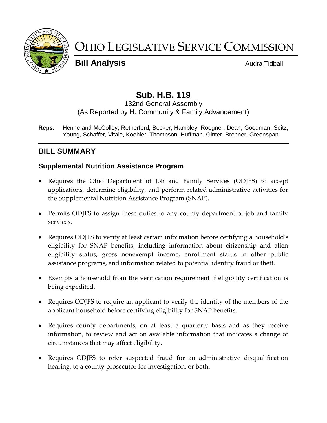

# OHIO LEGISLATIVE SERVICE COMMISSION

**Bill Analysis Audra Tidball** 

# **Sub. H.B. 119**

#### 132nd General Assembly (As Reported by H. Community & Family Advancement)

**Reps.** Henne and McColley, Retherford, Becker, Hambley, Roegner, Dean, Goodman, Seitz, Young, Schaffer, Vitale, Koehler, Thompson, Huffman, Ginter, Brenner, Greenspan

# **BILL SUMMARY**

# **Supplemental Nutrition Assistance Program**

- Requires the Ohio Department of Job and Family Services (ODJFS) to accept applications, determine eligibility, and perform related administrative activities for the Supplemental Nutrition Assistance Program (SNAP).
- Permits ODJFS to assign these duties to any county department of job and family services.
- Requires ODJFS to verify at least certain information before certifying a household's eligibility for SNAP benefits, including information about citizenship and alien eligibility status, gross nonexempt income, enrollment status in other public assistance programs, and information related to potential identity fraud or theft.
- Exempts a household from the verification requirement if eligibility certification is being expedited.
- Requires ODJFS to require an applicant to verify the identity of the members of the applicant household before certifying eligibility for SNAP benefits.
- Requires county departments, on at least a quarterly basis and as they receive information, to review and act on available information that indicates a change of circumstances that may affect eligibility.
- Requires ODJFS to refer suspected fraud for an administrative disqualification hearing, to a county prosecutor for investigation, or both.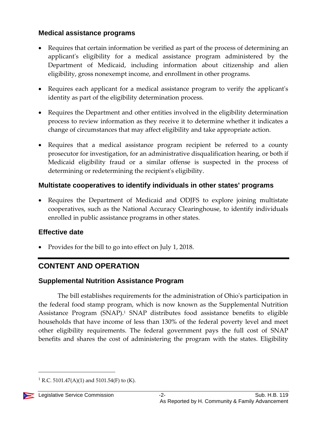# **Medical assistance programs**

- Requires that certain information be verified as part of the process of determining an applicant's eligibility for a medical assistance program administered by the Department of Medicaid, including information about citizenship and alien eligibility, gross nonexempt income, and enrollment in other programs.
- Requires each applicant for a medical assistance program to verify the applicant's identity as part of the eligibility determination process.
- Requires the Department and other entities involved in the eligibility determination process to review information as they receive it to determine whether it indicates a change of circumstances that may affect eligibility and take appropriate action.
- Requires that a medical assistance program recipient be referred to a county prosecutor for investigation, for an administrative disqualification hearing, or both if Medicaid eligibility fraud or a similar offense is suspected in the process of determining or redetermining the recipient's eligibility.

### **Multistate cooperatives to identify individuals in other states' programs**

• Requires the Department of Medicaid and ODJFS to explore joining multistate cooperatives, such as the National Accuracy Clearinghouse, to identify individuals enrolled in public assistance programs in other states.

#### **Effective date**

Provides for the bill to go into effect on July 1, 2018.

# **CONTENT AND OPERATION**

# **Supplemental Nutrition Assistance Program**

The bill establishes requirements for the administration of Ohio's participation in the federal food stamp program, which is now known as the Supplemental Nutrition Assistance Program (SNAP).<sup>1</sup> SNAP distributes food assistance benefits to eligible households that have income of less than 130% of the federal poverty level and meet other eligibility requirements. The federal government pays the full cost of SNAP benefits and shares the cost of administering the program with the states. Eligibility

<sup>&</sup>lt;sup>1</sup> R.C. 5101.47(A)(1) and 5101.54(F) to (K).

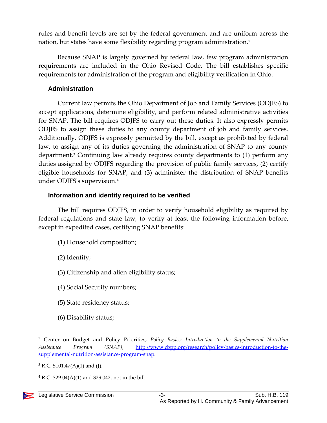rules and benefit levels are set by the federal government and are uniform across the nation, but states have some flexibility regarding program administration.<sup>2</sup>

Because SNAP is largely governed by federal law, few program administration requirements are included in the Ohio Revised Code. The bill establishes specific requirements for administration of the program and eligibility verification in Ohio.

#### **Administration**

Current law permits the Ohio Department of Job and Family Services (ODJFS) to accept applications, determine eligibility, and perform related administrative activities for SNAP. The bill requires ODJFS to carry out these duties. It also expressly permits ODJFS to assign these duties to any county department of job and family services. Additionally, ODJFS is expressly permitted by the bill, except as prohibited by federal law, to assign any of its duties governing the administration of SNAP to any county department.<sup>3</sup> Continuing law already requires county departments to (1) perform any duties assigned by ODJFS regarding the provision of public family services, (2) certify eligible households for SNAP, and (3) administer the distribution of SNAP benefits under ODJFS's supervision.<sup>4</sup>

#### **Information and identity required to be verified**

The bill requires ODJFS, in order to verify household eligibility as required by federal regulations and state law, to verify at least the following information before, except in expedited cases, certifying SNAP benefits:

- (1) Household composition;
- (2) Identity;
- (3) Citizenship and alien eligibility status;
- (4) Social Security numbers;
- (5) State residency status;
- (6) Disability status;

<sup>2</sup> Center on Budget and Policy Priorities, *Policy Basics: Introduction to the Supplemental Nutrition Assistance Program (SNAP)*, [http://www.cbpp.org/research/policy-basics-introduction-to-the](http://www.cbpp.org/research/policy-basics-introduction-to-the-supplemental-nutrition-assistance-program-snap)[supplemental-nutrition-assistance-program-snap.](http://www.cbpp.org/research/policy-basics-introduction-to-the-supplemental-nutrition-assistance-program-snap)

 $3$  R.C. 5101.47(A)(1) and (J).

 $4$  R.C. 329.04(A)(1) and 329.042, not in the bill.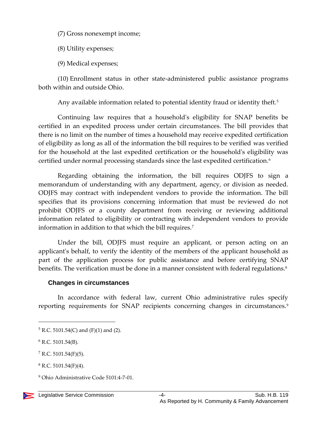(7) Gross nonexempt income;

(8) Utility expenses;

(9) Medical expenses;

(10) Enrollment status in other state-administered public assistance programs both within and outside Ohio.

Any available information related to potential identity fraud or identity theft.<sup>5</sup>

Continuing law requires that a household's eligibility for SNAP benefits be certified in an expedited process under certain circumstances. The bill provides that there is no limit on the number of times a household may receive expedited certification of eligibility as long as all of the information the bill requires to be verified was verified for the household at the last expedited certification or the household's eligibility was certified under normal processing standards since the last expedited certification.<sup>6</sup>

Regarding obtaining the information, the bill requires ODJFS to sign a memorandum of understanding with any department, agency, or division as needed. ODJFS may contract with independent vendors to provide the information. The bill specifies that its provisions concerning information that must be reviewed do not prohibit ODJFS or a county department from receiving or reviewing additional information related to eligibility or contracting with independent vendors to provide information in addition to that which the bill requires.<sup>7</sup>

Under the bill, ODJFS must require an applicant, or person acting on an applicant's behalf, to verify the identity of the members of the applicant household as part of the application process for public assistance and before certifying SNAP benefits. The verification must be done in a manner consistent with federal regulations.<sup>8</sup>

#### **Changes in circumstances**

In accordance with federal law, current Ohio administrative rules specify reporting requirements for SNAP recipients concerning changes in circumstances.<sup>9</sup>

<sup>9</sup> Ohio Administrative Code 5101:4-7-01.



 $5$  R.C. 5101.54(C) and (F)(1) and (2).

 $6$  R.C. 5101.54(B).

 $7 R.C. 5101.54(F)(5)$ .

 $8$  R.C. 5101.54(F)(4).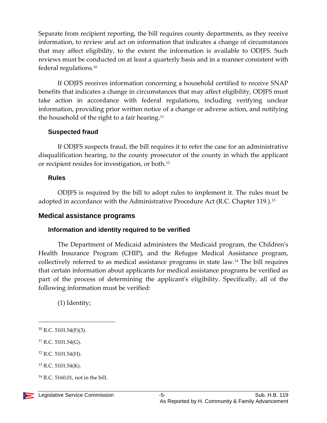Separate from recipient reporting, the bill requires county departments, as they receive information, to review and act on information that indicates a change of circumstances that may affect eligibility, to the extent the information is available to ODJFS. Such reviews must be conducted on at least a quarterly basis and in a manner consistent with federal regulations.<sup>10</sup>

If ODJFS receives information concerning a household certified to receive SNAP benefits that indicates a change in circumstances that may affect eligibility, ODJFS must take action in accordance with federal regulations, including verifying unclear information, providing prior written notice of a change or adverse action, and notifying the household of the right to a fair hearing.<sup>11</sup>

#### **Suspected fraud**

If ODJFS suspects fraud, the bill requires it to refer the case for an administrative disqualification hearing, to the county prosecutor of the county in which the applicant or recipient resides for investigation, or both.<sup>12</sup>

#### **Rules**

ODJFS is required by the bill to adopt rules to implement it. The rules must be adopted in accordance with the Administrative Procedure Act (R.C. Chapter 119.).<sup>13</sup>

#### **Medical assistance programs**

#### **Information and identity required to be verified**

The Department of Medicaid administers the Medicaid program, the Children's Health Insurance Program (CHIP), and the Refugee Medical Assistance program, collectively referred to as medical assistance programs in state law.<sup>14</sup> The bill requires that certain information about applicants for medical assistance programs be verified as part of the process of determining the applicant's eligibility. Specifically, all of the following information must be verified:

(1) Identity;

 $10$  R.C. 5101.54(F)(3).

<sup>11</sup> R.C. 5101.54(G).

<sup>12</sup> R.C. 5101.54(H).

 $13$  R.C. 5101.54(K).

 $14$  R.C. 5160.01, not in the bill.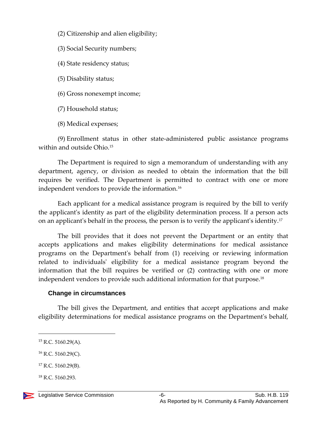- (2) Citizenship and alien eligibility;
- (3) Social Security numbers;
- (4) State residency status;
- (5) Disability status;
- (6) Gross nonexempt income;
- (7) Household status;
- (8) Medical expenses;

(9) Enrollment status in other state-administered public assistance programs within and outside Ohio.<sup>15</sup>

The Department is required to sign a memorandum of understanding with any department, agency, or division as needed to obtain the information that the bill requires be verified. The Department is permitted to contract with one or more independent vendors to provide the information.<sup>16</sup>

Each applicant for a medical assistance program is required by the bill to verify the applicant's identity as part of the eligibility determination process. If a person acts on an applicant's behalf in the process, the person is to verify the applicant's identity.<sup>17</sup>

The bill provides that it does not prevent the Department or an entity that accepts applications and makes eligibility determinations for medical assistance programs on the Department's behalf from (1) receiving or reviewing information related to individuals' eligibility for a medical assistance program beyond the information that the bill requires be verified or (2) contracting with one or more independent vendors to provide such additional information for that purpose.<sup>18</sup>

#### **Change in circumstances**

The bill gives the Department, and entities that accept applications and make eligibility determinations for medical assistance programs on the Department's behalf,

 $\overline{a}$ 

 $16$  R.C. 5160.29(C).

 $18$  R.C. 5160.293.



 $15$  R.C. 5160.29(A).

<sup>17</sup> R.C. 5160.29(B).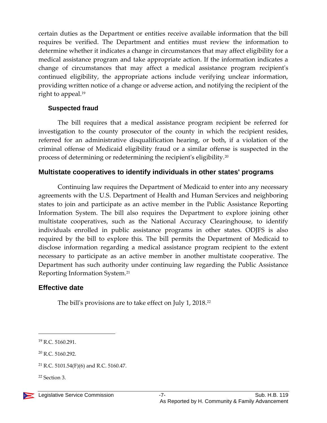certain duties as the Department or entities receive available information that the bill requires be verified. The Department and entities must review the information to determine whether it indicates a change in circumstances that may affect eligibility for a medical assistance program and take appropriate action. If the information indicates a change of circumstances that may affect a medical assistance program recipient's continued eligibility, the appropriate actions include verifying unclear information, providing written notice of a change or adverse action, and notifying the recipient of the right to appeal.<sup>19</sup>

#### **Suspected fraud**

The bill requires that a medical assistance program recipient be referred for investigation to the county prosecutor of the county in which the recipient resides, referred for an administrative disqualification hearing, or both, if a violation of the criminal offense of Medicaid eligibility fraud or a similar offense is suspected in the process of determining or redetermining the recipient's eligibility.<sup>20</sup>

#### **Multistate cooperatives to identify individuals in other states' programs**

Continuing law requires the Department of Medicaid to enter into any necessary agreements with the U.S. Department of Health and Human Services and neighboring states to join and participate as an active member in the Public Assistance Reporting Information System. The bill also requires the Department to explore joining other multistate cooperatives, such as the National Accuracy Clearinghouse, to identify individuals enrolled in public assistance programs in other states. ODJFS is also required by the bill to explore this. The bill permits the Department of Medicaid to disclose information regarding a medical assistance program recipient to the extent necessary to participate as an active member in another multistate cooperative. The Department has such authority under continuing law regarding the Public Assistance Reporting Information System.<sup>21</sup>

# **Effective date**

The bill's provisions are to take effect on July 1, 2018.<sup>22</sup>

<sup>19</sup> R.C. 5160.291.

<sup>20</sup> R.C. 5160.292.

<sup>&</sup>lt;sup>21</sup> R.C. 5101.54(F)(6) and R.C. 5160.47.

<sup>22</sup> Section 3.